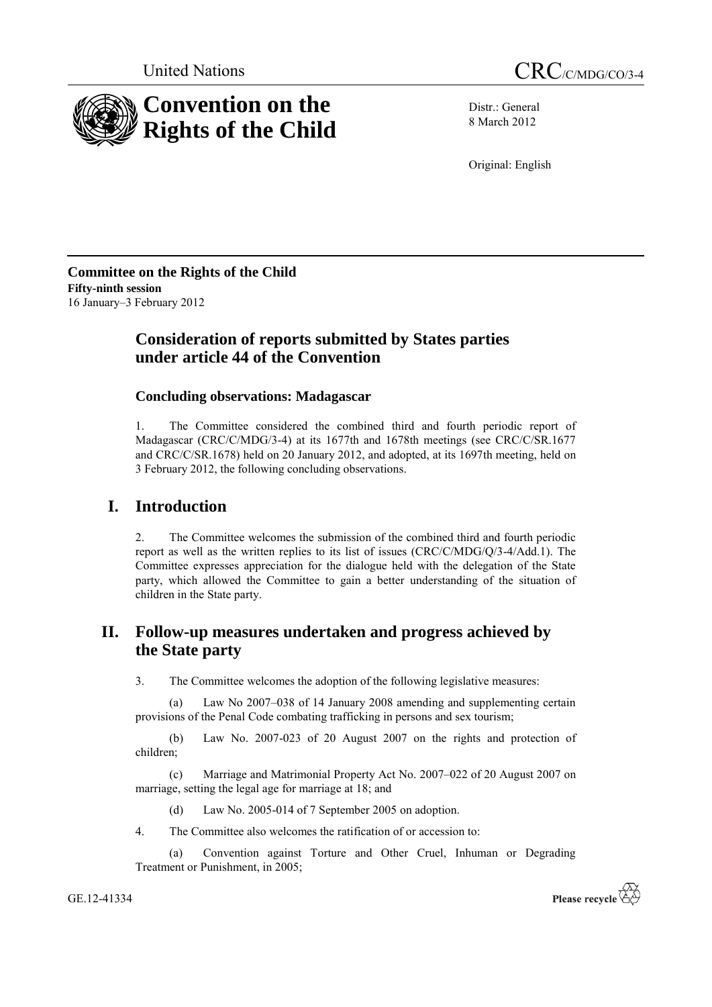

Distr.: General 8 March 2012

Original: English

**Committee on the Rights of the Child Fifty-ninth session** 16 January–3 February 2012

# **Consideration of reports submitted by States parties under article 44 of the Convention**

## **Concluding observations: Madagascar**

1. The Committee considered the combined third and fourth periodic report of Madagascar (CRC/C/MDG/3-4) at its 1677th and 1678th meetings (see CRC/C/SR.1677 and CRC/C/SR.1678) held on 20 January 2012, and adopted, at its 1697th meeting, held on 3 February 2012, the following concluding observations.

# **I. Introduction**

2. The Committee welcomes the submission of the combined third and fourth periodic report as well as the written replies to its list of issues (CRC/C/MDG/Q/3-4/Add.1). The Committee expresses appreciation for the dialogue held with the delegation of the State party, which allowed the Committee to gain a better understanding of the situation of children in the State party.

# **II. Follow-up measures undertaken and progress achieved by the State party**

3. The Committee welcomes the adoption of the following legislative measures:

(a) Law No 2007–038 of 14 January 2008 amending and supplementing certain provisions of the Penal Code combating trafficking in persons and sex tourism;

(b) Law No. 2007-023 of 20 August 2007 on the rights and protection of children;

(c) Marriage and Matrimonial Property Act No. 2007–022 of 20 August 2007 on marriage, setting the legal age for marriage at 18; and

(d) Law No. 2005-014 of 7 September 2005 on adoption.

4. The Committee also welcomes the ratification of or accession to:

(a) Convention against Torture and Other Cruel, Inhuman or Degrading Treatment or Punishment, in 2005;

GE.12-41334

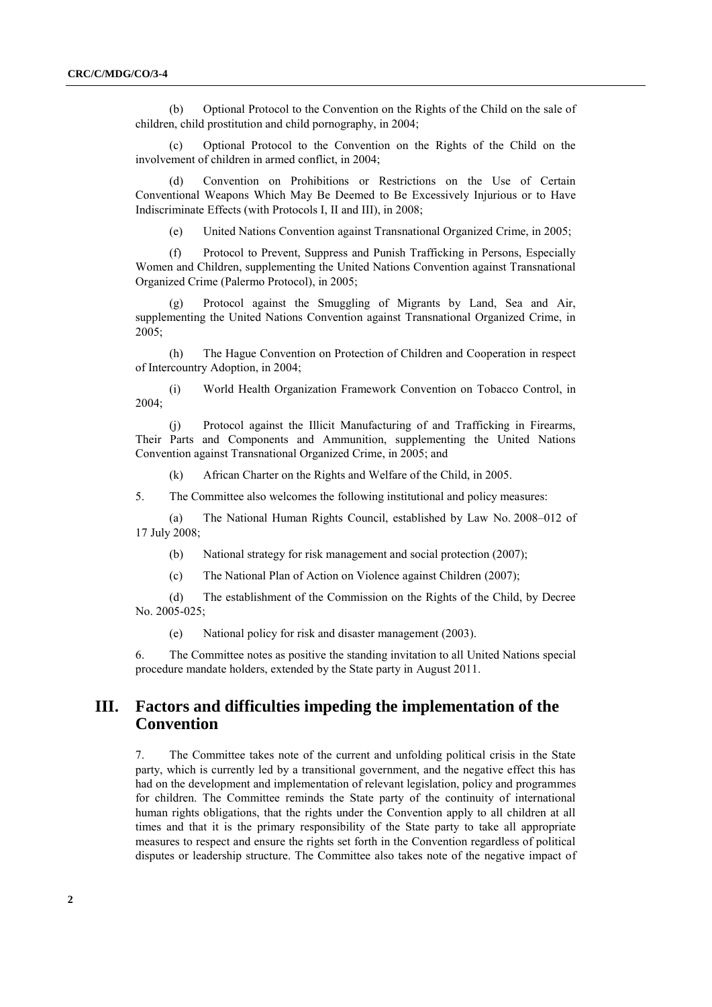(b) Optional Protocol to the Convention on the Rights of the Child on the sale of children, child prostitution and child pornography, in 2004;

(c) Optional Protocol to the Convention on the Rights of the Child on the involvement of children in armed conflict, in 2004;

(d) Convention on Prohibitions or Restrictions on the Use of Certain Conventional Weapons Which May Be Deemed to Be Excessively Injurious or to Have Indiscriminate Effects (with Protocols I, II and III), in 2008;

(e) United Nations Convention against Transnational Organized Crime, in 2005;

(f) Protocol to Prevent, Suppress and Punish Trafficking in Persons, Especially Women and Children, supplementing the United Nations Convention against Transnational Organized Crime (Palermo Protocol), in 2005;

(g) Protocol against the Smuggling of Migrants by Land, Sea and Air, supplementing the United Nations Convention against Transnational Organized Crime, in 2005;

(h) The Hague Convention on Protection of Children and Cooperation in respect of Intercountry Adoption, in 2004;

(i) World Health Organization Framework Convention on Tobacco Control, in 2004;

(j) Protocol against the Illicit Manufacturing of and Trafficking in Firearms, Their Parts and Components and Ammunition, supplementing the United Nations Convention against Transnational Organized Crime, in 2005; and

(k) African Charter on the Rights and Welfare of the Child, in 2005.

5. The Committee also welcomes the following institutional and policy measures:

(a) The National Human Rights Council, established by Law No. 2008–012 of 17 July 2008;

(b) National strategy for risk management and social protection (2007);

(c) The National Plan of Action on Violence against Children (2007);

(d) The establishment of the Commission on the Rights of the Child, by Decree No. 2005-025;

(e) National policy for risk and disaster management (2003).

6. The Committee notes as positive the standing invitation to all United Nations special procedure mandate holders, extended by the State party in August 2011.

## **III. Factors and difficulties impeding the implementation of the Convention**

7. The Committee takes note of the current and unfolding political crisis in the State party, which is currently led by a transitional government, and the negative effect this has had on the development and implementation of relevant legislation, policy and programmes for children. The Committee reminds the State party of the continuity of international human rights obligations, that the rights under the Convention apply to all children at all times and that it is the primary responsibility of the State party to take all appropriate measures to respect and ensure the rights set forth in the Convention regardless of political disputes or leadership structure. The Committee also takes note of the negative impact of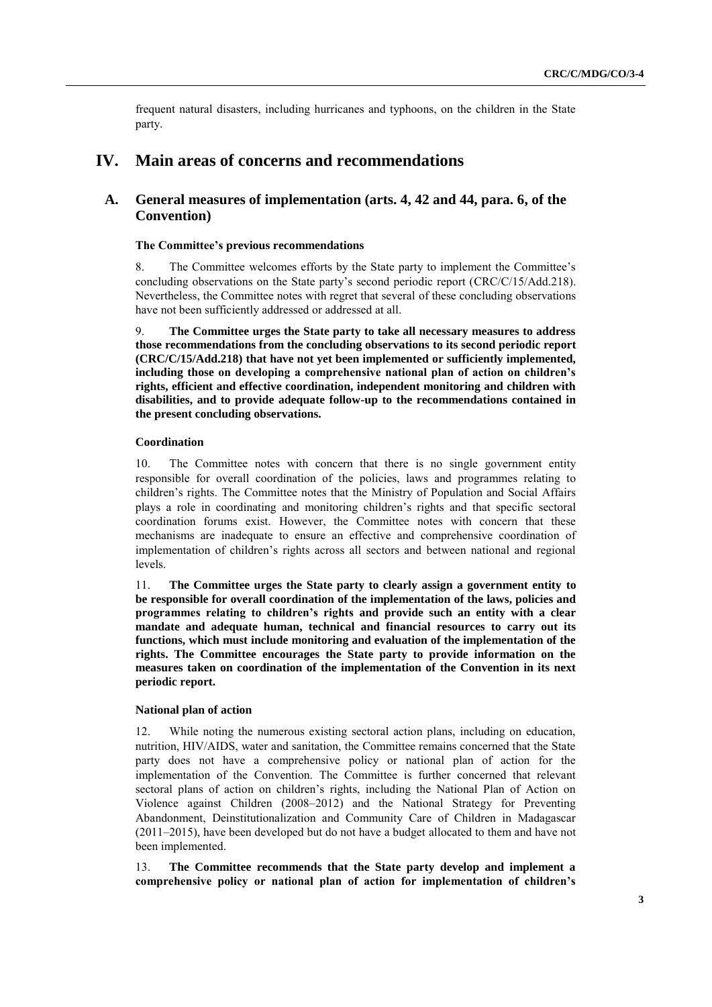frequent natural disasters, including hurricanes and typhoons, on the children in the State party.

## **IV. Main areas of concerns and recommendations**

## **A. General measures of implementation (arts. 4, 42 and 44, para. 6, of the Convention)**

## **The Committee's previous recommendations**

8. The Committee welcomes efforts by the State party to implement the Committee's concluding observations on the State party's second periodic report (CRC/C/15/Add.218). Nevertheless, the Committee notes with regret that several of these concluding observations have not been sufficiently addressed or addressed at all.

9. **The Committee urges the State party to take all necessary measures to address those recommendations from the concluding observations to its second periodic report (CRC/C/15/Add.218) that have not yet been implemented or sufficiently implemented, including those on developing a comprehensive national plan of action on children's rights, efficient and effective coordination, independent monitoring and children with disabilities, and to provide adequate follow-up to the recommendations contained in the present concluding observations.**

## **Coordination**

10. The Committee notes with concern that there is no single government entity responsible for overall coordination of the policies, laws and programmes relating to children's rights. The Committee notes that the Ministry of Population and Social Affairs plays a role in coordinating and monitoring children's rights and that specific sectoral coordination forums exist. However, the Committee notes with concern that these mechanisms are inadequate to ensure an effective and comprehensive coordination of implementation of children's rights across all sectors and between national and regional levels.

11. **The Committee urges the State party to clearly assign a government entity to be responsible for overall coordination of the implementation of the laws, policies and programmes relating to children's rights and provide such an entity with a clear mandate and adequate human, technical and financial resources to carry out its functions, which must include monitoring and evaluation of the implementation of the rights. The Committee encourages the State party to provide information on the measures taken on coordination of the implementation of the Convention in its next periodic report.**

#### **National plan of action**

12. While noting the numerous existing sectoral action plans, including on education, nutrition, HIV/AIDS, water and sanitation, the Committee remains concerned that the State party does not have a comprehensive policy or national plan of action for the implementation of the Convention. The Committee is further concerned that relevant sectoral plans of action on children's rights, including the National Plan of Action on Violence against Children (2008–2012) and the National Strategy for Preventing Abandonment, Deinstitutionalization and Community Care of Children in Madagascar (2011–2015), have been developed but do not have a budget allocated to them and have not been implemented.

13. **The Committee recommends that the State party develop and implement a comprehensive policy or national plan of action for implementation of children's**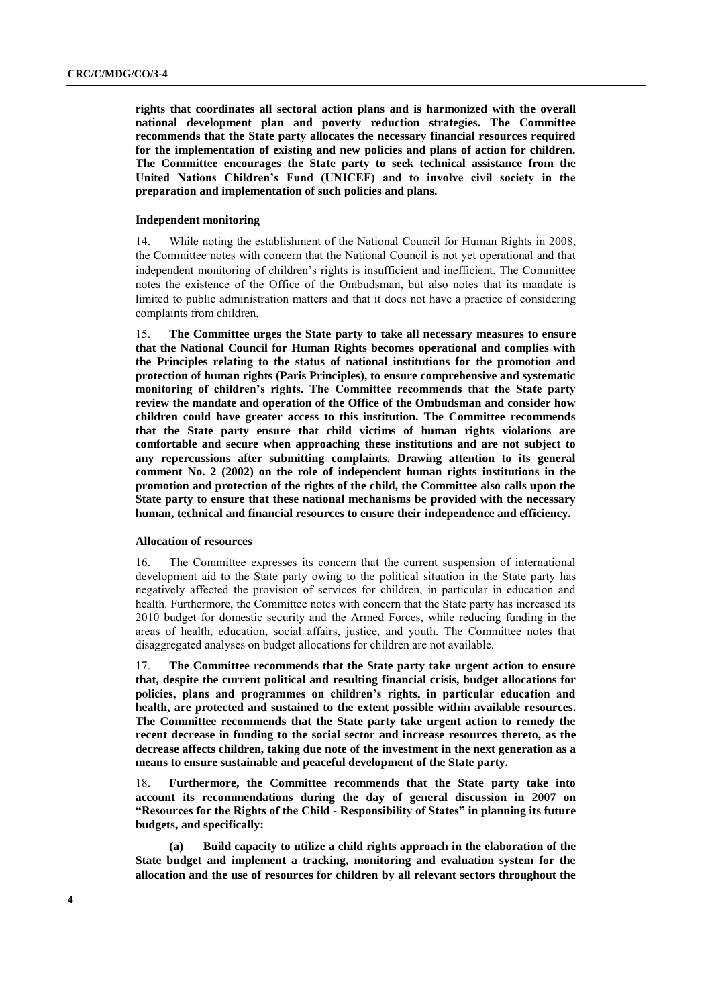**rights that coordinates all sectoral action plans and is harmonized with the overall national development plan and poverty reduction strategies. The Committee recommends that the State party allocates the necessary financial resources required for the implementation of existing and new policies and plans of action for children. The Committee encourages the State party to seek technical assistance from the United Nations Children's Fund (UNICEF) and to involve civil society in the preparation and implementation of such policies and plans.**

#### **Independent monitoring**

14. While noting the establishment of the National Council for Human Rights in 2008, the Committee notes with concern that the National Council is not yet operational and that independent monitoring of children's rights is insufficient and inefficient. The Committee notes the existence of the Office of the Ombudsman, but also notes that its mandate is limited to public administration matters and that it does not have a practice of considering complaints from children.

15. **The Committee urges the State party to take all necessary measures to ensure that the National Council for Human Rights becomes operational and complies with the Principles relating to the status of national institutions for the promotion and protection of human rights (Paris Principles), to ensure comprehensive and systematic monitoring of children's rights. The Committee recommends that the State party review the mandate and operation of the Office of the Ombudsman and consider how children could have greater access to this institution. The Committee recommends that the State party ensure that child victims of human rights violations are comfortable and secure when approaching these institutions and are not subject to any repercussions after submitting complaints. Drawing attention to its general comment No. 2 (2002) on the role of independent human rights institutions in the promotion and protection of the rights of the child, the Committee also calls upon the State party to ensure that these national mechanisms be provided with the necessary human, technical and financial resources to ensure their independence and efficiency.**

## **Allocation of resources**

16. The Committee expresses its concern that the current suspension of international development aid to the State party owing to the political situation in the State party has negatively affected the provision of services for children, in particular in education and health. Furthermore, the Committee notes with concern that the State party has increased its 2010 budget for domestic security and the Armed Forces, while reducing funding in the areas of health, education, social affairs, justice, and youth. The Committee notes that disaggregated analyses on budget allocations for children are not available.

17. **The Committee recommends that the State party take urgent action to ensure that, despite the current political and resulting financial crisis, budget allocations for policies, plans and programmes on children's rights, in particular education and health, are protected and sustained to the extent possible within available resources. The Committee recommends that the State party take urgent action to remedy the recent decrease in funding to the social sector and increase resources thereto, as the decrease affects children, taking due note of the investment in the next generation as a means to ensure sustainable and peaceful development of the State party.**

18. **Furthermore, the Committee recommends that the State party take into account its recommendations during the day of general discussion in 2007 on "Resources for the Rights of the Child - Responsibility of States" in planning its future budgets, and specifically:**

**(a) Build capacity to utilize a child rights approach in the elaboration of the State budget and implement a tracking, monitoring and evaluation system for the allocation and the use of resources for children by all relevant sectors throughout the**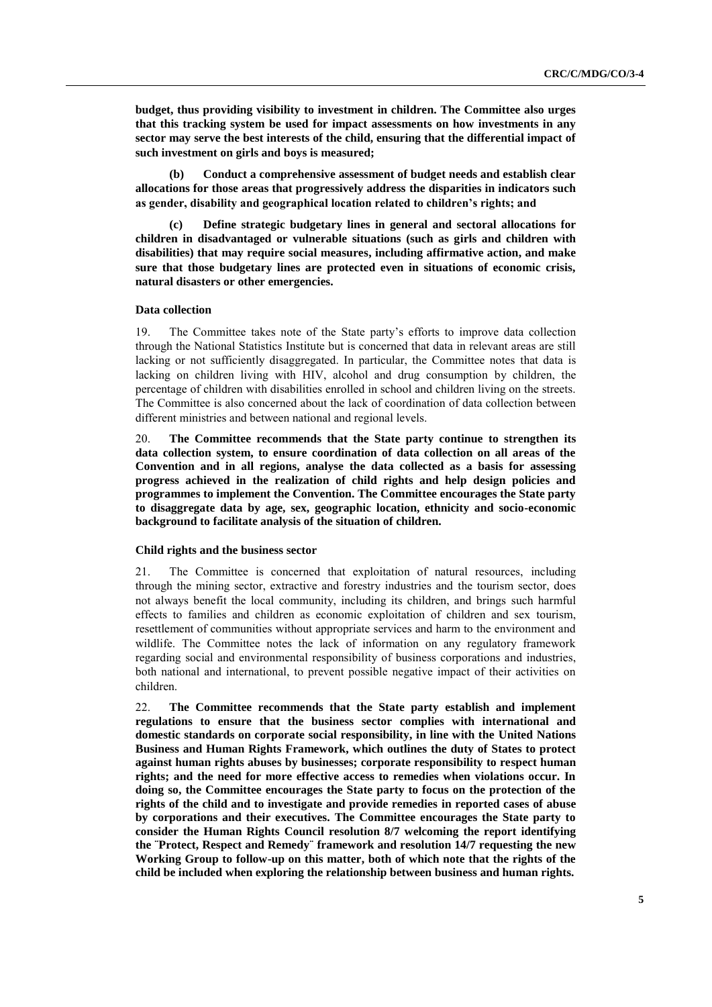**budget, thus providing visibility to investment in children. The Committee also urges that this tracking system be used for impact assessments on how investments in any sector may serve the best interests of the child, ensuring that the differential impact of such investment on girls and boys is measured;**

**(b) Conduct a comprehensive assessment of budget needs and establish clear allocations for those areas that progressively address the disparities in indicators such as gender, disability and geographical location related to children's rights; and**

**(c) Define strategic budgetary lines in general and sectoral allocations for children in disadvantaged or vulnerable situations (such as girls and children with disabilities) that may require social measures, including affirmative action, and make sure that those budgetary lines are protected even in situations of economic crisis, natural disasters or other emergencies.**

### **Data collection**

19. The Committee takes note of the State party's efforts to improve data collection through the National Statistics Institute but is concerned that data in relevant areas are still lacking or not sufficiently disaggregated. In particular, the Committee notes that data is lacking on children living with HIV, alcohol and drug consumption by children, the percentage of children with disabilities enrolled in school and children living on the streets. The Committee is also concerned about the lack of coordination of data collection between different ministries and between national and regional levels.

20. **The Committee recommends that the State party continue to strengthen its data collection system, to ensure coordination of data collection on all areas of the Convention and in all regions, analyse the data collected as a basis for assessing progress achieved in the realization of child rights and help design policies and programmes to implement the Convention. The Committee encourages the State party to disaggregate data by age, sex, geographic location, ethnicity and socio-economic background to facilitate analysis of the situation of children.**

#### **Child rights and the business sector**

21. The Committee is concerned that exploitation of natural resources, including through the mining sector, extractive and forestry industries and the tourism sector, does not always benefit the local community, including its children, and brings such harmful effects to families and children as economic exploitation of children and sex tourism, resettlement of communities without appropriate services and harm to the environment and wildlife. The Committee notes the lack of information on any regulatory framework regarding social and environmental responsibility of business corporations and industries, both national and international, to prevent possible negative impact of their activities on children.

22. **The Committee recommends that the State party establish and implement regulations to ensure that the business sector complies with international and domestic standards on corporate social responsibility, in line with the United Nations Business and Human Rights Framework, which outlines the duty of States to protect against human rights abuses by businesses; corporate responsibility to respect human rights; and the need for more effective access to remedies when violations occur. In doing so, the Committee encourages the State party to focus on the protection of the rights of the child and to investigate and provide remedies in reported cases of abuse by corporations and their executives. The Committee encourages the State party to consider the Human Rights Council resolution 8/7 welcoming the report identifying the ¨Protect, Respect and Remedy¨ framework and resolution 14/7 requesting the new Working Group to follow-up on this matter, both of which note that the rights of the child be included when exploring the relationship between business and human rights.**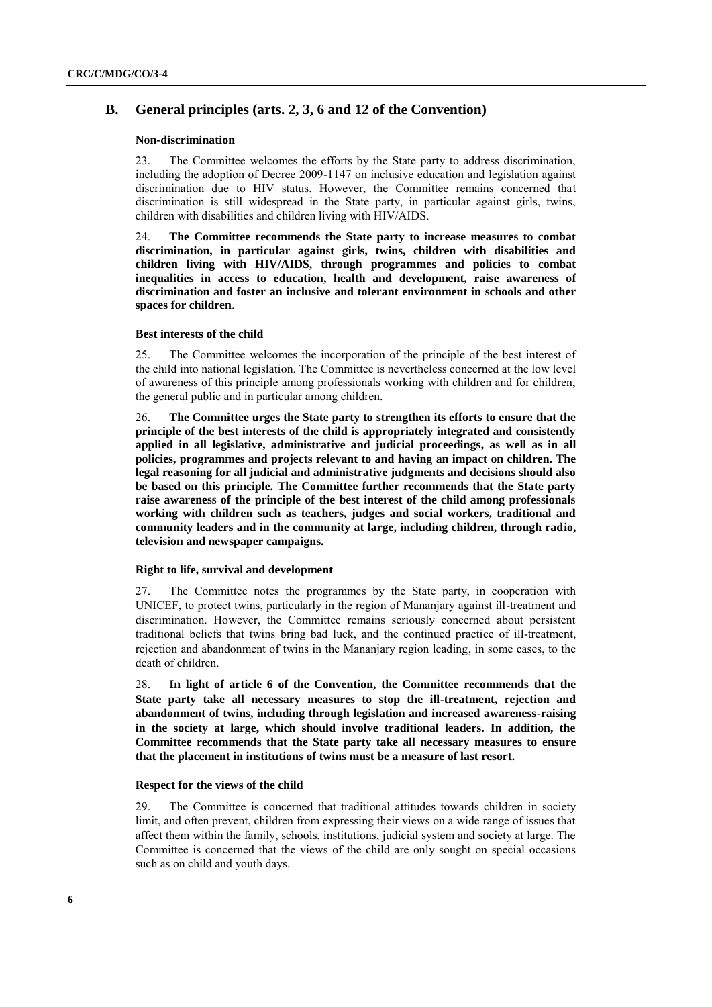## **B. General principles (arts. 2, 3, 6 and 12 of the Convention)**

#### **Non-discrimination**

23. The Committee welcomes the efforts by the State party to address discrimination, including the adoption of Decree 2009-1147 on inclusive education and legislation against discrimination due to HIV status. However, the Committee remains concerned that discrimination is still widespread in the State party, in particular against girls, twins, children with disabilities and children living with HIV/AIDS.

24. **The Committee recommends the State party to increase measures to combat discrimination, in particular against girls, twins, children with disabilities and children living with HIV/AIDS, through programmes and policies to combat inequalities in access to education, health and development, raise awareness of discrimination and foster an inclusive and tolerant environment in schools and other spaces for children**.

### **Best interests of the child**

25. The Committee welcomes the incorporation of the principle of the best interest of the child into national legislation. The Committee is nevertheless concerned at the low level of awareness of this principle among professionals working with children and for children, the general public and in particular among children.

26. **The Committee urges the State party to strengthen its efforts to ensure that the principle of the best interests of the child is appropriately integrated and consistently applied in all legislative, administrative and judicial proceedings, as well as in all policies, programmes and projects relevant to and having an impact on children. The legal reasoning for all judicial and administrative judgments and decisions should also be based on this principle. The Committee further recommends that the State party raise awareness of the principle of the best interest of the child among professionals working with children such as teachers, judges and social workers, traditional and community leaders and in the community at large, including children, through radio, television and newspaper campaigns.**

#### **Right to life, survival and development**

27. The Committee notes the programmes by the State party, in cooperation with UNICEF, to protect twins, particularly in the region of Mananjary against ill-treatment and discrimination. However, the Committee remains seriously concerned about persistent traditional beliefs that twins bring bad luck, and the continued practice of ill-treatment, rejection and abandonment of twins in the Mananjary region leading, in some cases, to the death of children.

28. **In light of article 6 of the Convention, the Committee recommends that the State party take all necessary measures to stop the ill-treatment, rejection and abandonment of twins, including through legislation and increased awareness-raising in the society at large, which should involve traditional leaders. In addition, the Committee recommends that the State party take all necessary measures to ensure that the placement in institutions of twins must be a measure of last resort.**

### **Respect for the views of the child**

29. The Committee is concerned that traditional attitudes towards children in society limit, and often prevent, children from expressing their views on a wide range of issues that affect them within the family, schools, institutions, judicial system and society at large. The Committee is concerned that the views of the child are only sought on special occasions such as on child and youth days.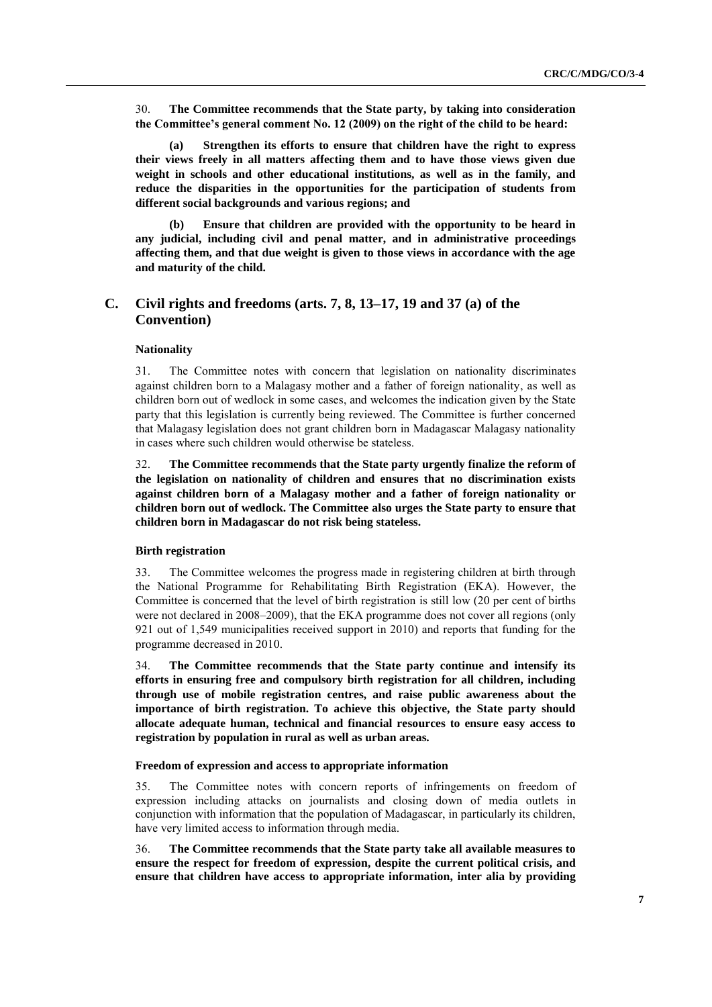30. **The Committee recommends that the State party, by taking into consideration the Committee's general comment No. 12 (2009) on the right of the child to be heard:**

**(a) Strengthen its efforts to ensure that children have the right to express their views freely in all matters affecting them and to have those views given due weight in schools and other educational institutions, as well as in the family, and reduce the disparities in the opportunities for the participation of students from different social backgrounds and various regions; and**

**(b) Ensure that children are provided with the opportunity to be heard in any judicial, including civil and penal matter, and in administrative proceedings affecting them, and that due weight is given to those views in accordance with the age and maturity of the child.**

## **C. Civil rights and freedoms (arts. 7, 8, 13–17, 19 and 37 (a) of the Convention)**

## **Nationality**

31. The Committee notes with concern that legislation on nationality discriminates against children born to a Malagasy mother and a father of foreign nationality, as well as children born out of wedlock in some cases, and welcomes the indication given by the State party that this legislation is currently being reviewed. The Committee is further concerned that Malagasy legislation does not grant children born in Madagascar Malagasy nationality in cases where such children would otherwise be stateless.

32. **The Committee recommends that the State party urgently finalize the reform of the legislation on nationality of children and ensures that no discrimination exists against children born of a Malagasy mother and a father of foreign nationality or children born out of wedlock. The Committee also urges the State party to ensure that children born in Madagascar do not risk being stateless.**

### **Birth registration**

33. The Committee welcomes the progress made in registering children at birth through the National Programme for Rehabilitating Birth Registration (EKA). However, the Committee is concerned that the level of birth registration is still low (20 per cent of births were not declared in 2008–2009), that the EKA programme does not cover all regions (only 921 out of 1,549 municipalities received support in 2010) and reports that funding for the programme decreased in 2010.

34. **The Committee recommends that the State party continue and intensify its efforts in ensuring free and compulsory birth registration for all children, including through use of mobile registration centres, and raise public awareness about the importance of birth registration. To achieve this objective, the State party should allocate adequate human, technical and financial resources to ensure easy access to registration by population in rural as well as urban areas.**

### **Freedom of expression and access to appropriate information**

35. The Committee notes with concern reports of infringements on freedom of expression including attacks on journalists and closing down of media outlets in conjunction with information that the population of Madagascar, in particularly its children, have very limited access to information through media.

36. **The Committee recommends that the State party take all available measures to ensure the respect for freedom of expression, despite the current political crisis, and ensure that children have access to appropriate information, inter alia by providing**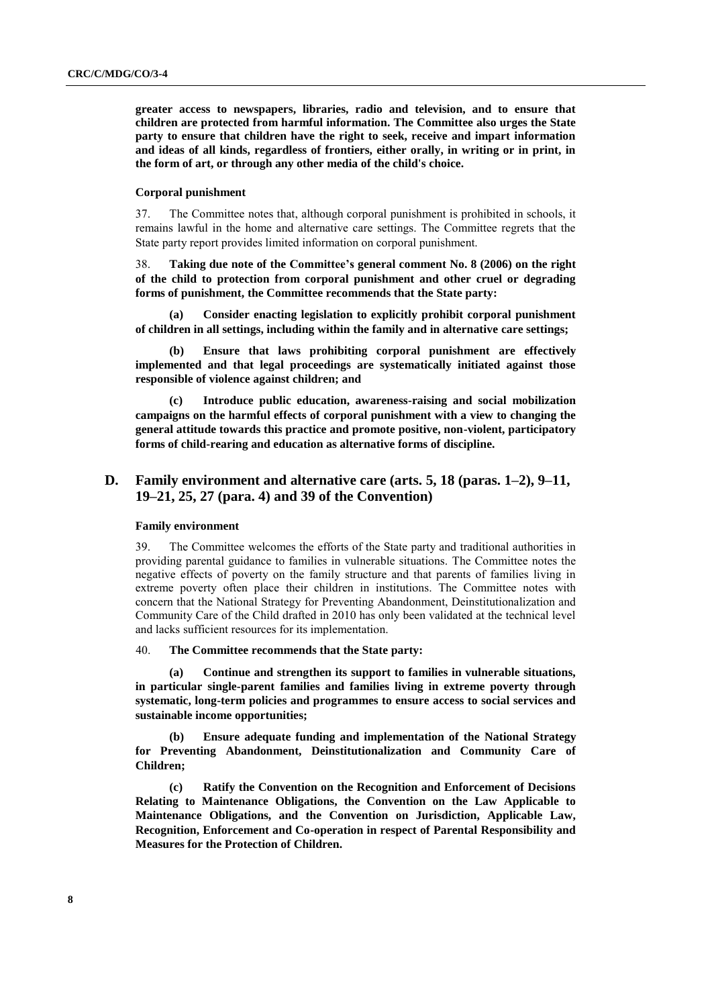**greater access to newspapers, libraries, radio and television, and to ensure that children are protected from harmful information. The Committee also urges the State party to ensure that children have the right to seek, receive and impart information and ideas of all kinds, regardless of frontiers, either orally, in writing or in print, in the form of art, or through any other media of the child's choice.**

#### **Corporal punishment**

37. The Committee notes that, although corporal punishment is prohibited in schools, it remains lawful in the home and alternative care settings. The Committee regrets that the State party report provides limited information on corporal punishment.

38. **Taking due note of the Committee's general comment No. 8 (2006) on the right of the child to protection from corporal punishment and other cruel or degrading forms of punishment, the Committee recommends that the State party:**

**(a) Consider enacting legislation to explicitly prohibit corporal punishment of children in all settings, including within the family and in alternative care settings;**

**(b) Ensure that laws prohibiting corporal punishment are effectively implemented and that legal proceedings are systematically initiated against those responsible of violence against children; and**

**(c) Introduce public education, awareness-raising and social mobilization campaigns on the harmful effects of corporal punishment with a view to changing the general attitude towards this practice and promote positive, non-violent, participatory forms of child-rearing and education as alternative forms of discipline.**

## **D. Family environment and alternative care (arts. 5, 18 (paras. 1–2), 9–11, 19–21, 25, 27 (para. 4) and 39 of the Convention)**

#### **Family environment**

39. The Committee welcomes the efforts of the State party and traditional authorities in providing parental guidance to families in vulnerable situations. The Committee notes the negative effects of poverty on the family structure and that parents of families living in extreme poverty often place their children in institutions. The Committee notes with concern that the National Strategy for Preventing Abandonment, Deinstitutionalization and Community Care of the Child drafted in 2010 has only been validated at the technical level and lacks sufficient resources for its implementation.

### 40. **The Committee recommends that the State party:**

**(a) Continue and strengthen its support to families in vulnerable situations, in particular single-parent families and families living in extreme poverty through systematic, long-term policies and programmes to ensure access to social services and sustainable income opportunities;** 

**(b) Ensure adequate funding and implementation of the National Strategy for Preventing Abandonment, Deinstitutionalization and Community Care of Children;**

**(c) Ratify the Convention on the Recognition and Enforcement of Decisions Relating to Maintenance Obligations, the Convention on the Law Applicable to Maintenance Obligations, and the Convention on Jurisdiction, Applicable Law, Recognition, Enforcement and Co-operation in respect of Parental Responsibility and Measures for the Protection of Children.**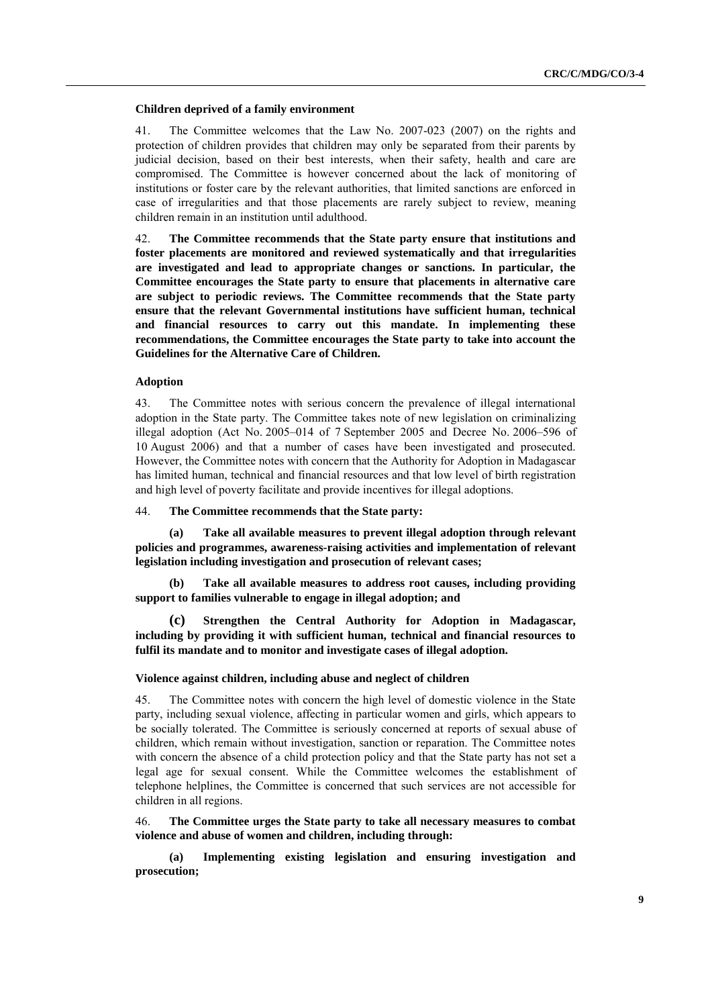#### **Children deprived of a family environment**

41. The Committee welcomes that the Law No. 2007-023 (2007) on the rights and protection of children provides that children may only be separated from their parents by judicial decision, based on their best interests, when their safety, health and care are compromised. The Committee is however concerned about the lack of monitoring of institutions or foster care by the relevant authorities, that limited sanctions are enforced in case of irregularities and that those placements are rarely subject to review, meaning children remain in an institution until adulthood.

42. **The Committee recommends that the State party ensure that institutions and foster placements are monitored and reviewed systematically and that irregularities are investigated and lead to appropriate changes or sanctions. In particular, the Committee encourages the State party to ensure that placements in alternative care are subject to periodic reviews. The Committee recommends that the State party ensure that the relevant Governmental institutions have sufficient human, technical and financial resources to carry out this mandate. In implementing these recommendations, the Committee encourages the State party to take into account the Guidelines for the Alternative Care of Children.**

### **Adoption**

43. The Committee notes with serious concern the prevalence of illegal international adoption in the State party. The Committee takes note of new legislation on criminalizing illegal adoption (Act No. 2005–014 of 7 September 2005 and Decree No. 2006–596 of 10 August 2006) and that a number of cases have been investigated and prosecuted. However, the Committee notes with concern that the Authority for Adoption in Madagascar has limited human, technical and financial resources and that low level of birth registration and high level of poverty facilitate and provide incentives for illegal adoptions.

#### 44. **The Committee recommends that the State party:**

**(a) Take all available measures to prevent illegal adoption through relevant policies and programmes, awareness-raising activities and implementation of relevant legislation including investigation and prosecution of relevant cases;** 

**(b) Take all available measures to address root causes, including providing support to families vulnerable to engage in illegal adoption; and**

**(c) Strengthen the Central Authority for Adoption in Madagascar, including by providing it with sufficient human, technical and financial resources to fulfil its mandate and to monitor and investigate cases of illegal adoption.**

### **Violence against children, including abuse and neglect of children**

45. The Committee notes with concern the high level of domestic violence in the State party, including sexual violence, affecting in particular women and girls, which appears to be socially tolerated. The Committee is seriously concerned at reports of sexual abuse of children, which remain without investigation, sanction or reparation. The Committee notes with concern the absence of a child protection policy and that the State party has not set a legal age for sexual consent. While the Committee welcomes the establishment of telephone helplines, the Committee is concerned that such services are not accessible for children in all regions.

### 46. **The Committee urges the State party to take all necessary measures to combat violence and abuse of women and children, including through:**

**(a) Implementing existing legislation and ensuring investigation and prosecution;**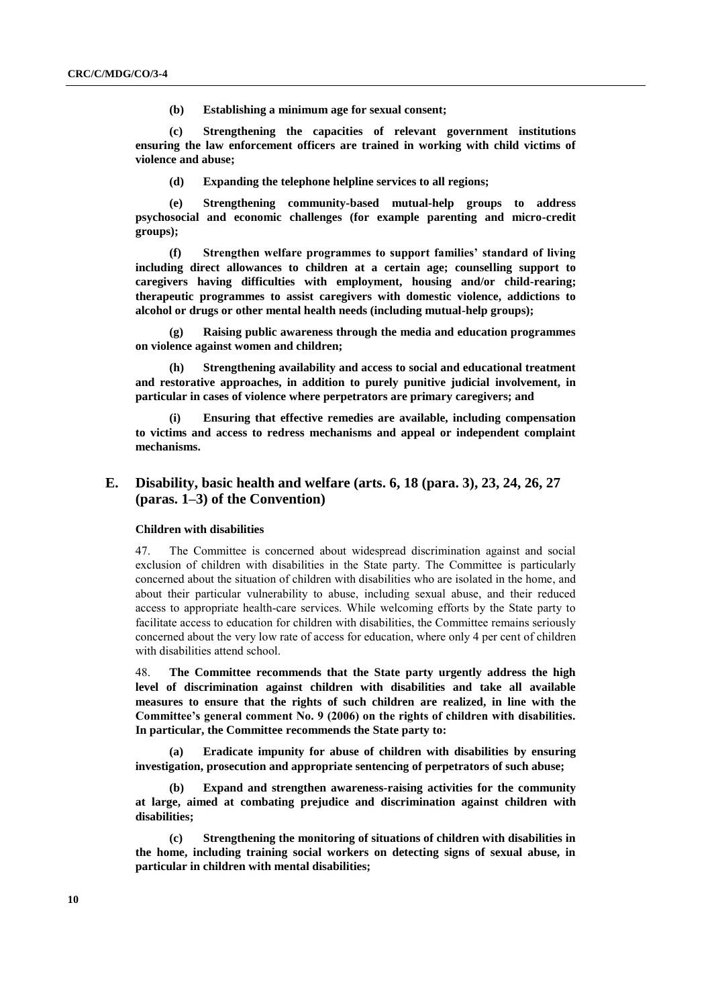**(b) Establishing a minimum age for sexual consent;**

**(c) Strengthening the capacities of relevant government institutions ensuring the law enforcement officers are trained in working with child victims of violence and abuse;** 

**(d) Expanding the telephone helpline services to all regions;**

**(e) Strengthening community-based mutual-help groups to address psychosocial and economic challenges (for example parenting and micro-credit groups);**

**(f) Strengthen welfare programmes to support families' standard of living including direct allowances to children at a certain age; counselling support to caregivers having difficulties with employment, housing and/or child-rearing; therapeutic programmes to assist caregivers with domestic violence, addictions to alcohol or drugs or other mental health needs (including mutual-help groups);**

**(g) Raising public awareness through the media and education programmes on violence against women and children;**

**(h) Strengthening availability and access to social and educational treatment and restorative approaches, in addition to purely punitive judicial involvement, in particular in cases of violence where perpetrators are primary caregivers; and** 

**(i) Ensuring that effective remedies are available, including compensation to victims and access to redress mechanisms and appeal or independent complaint mechanisms.**

## **E. Disability, basic health and welfare (arts. 6, 18 (para. 3), 23, 24, 26, 27 (paras. 1–3) of the Convention)**

### **Children with disabilities**

47. The Committee is concerned about widespread discrimination against and social exclusion of children with disabilities in the State party. The Committee is particularly concerned about the situation of children with disabilities who are isolated in the home, and about their particular vulnerability to abuse, including sexual abuse, and their reduced access to appropriate health-care services. While welcoming efforts by the State party to facilitate access to education for children with disabilities, the Committee remains seriously concerned about the very low rate of access for education, where only 4 per cent of children with disabilities attend school.

48. **The Committee recommends that the State party urgently address the high level of discrimination against children with disabilities and take all available measures to ensure that the rights of such children are realized, in line with the Committee's general comment No. 9 (2006) on the rights of children with disabilities. In particular, the Committee recommends the State party to:**

**(a) Eradicate impunity for abuse of children with disabilities by ensuring investigation, prosecution and appropriate sentencing of perpetrators of such abuse;**

**(b) Expand and strengthen awareness-raising activities for the community at large, aimed at combating prejudice and discrimination against children with disabilities;**

**(c) Strengthening the monitoring of situations of children with disabilities in the home, including training social workers on detecting signs of sexual abuse, in particular in children with mental disabilities;**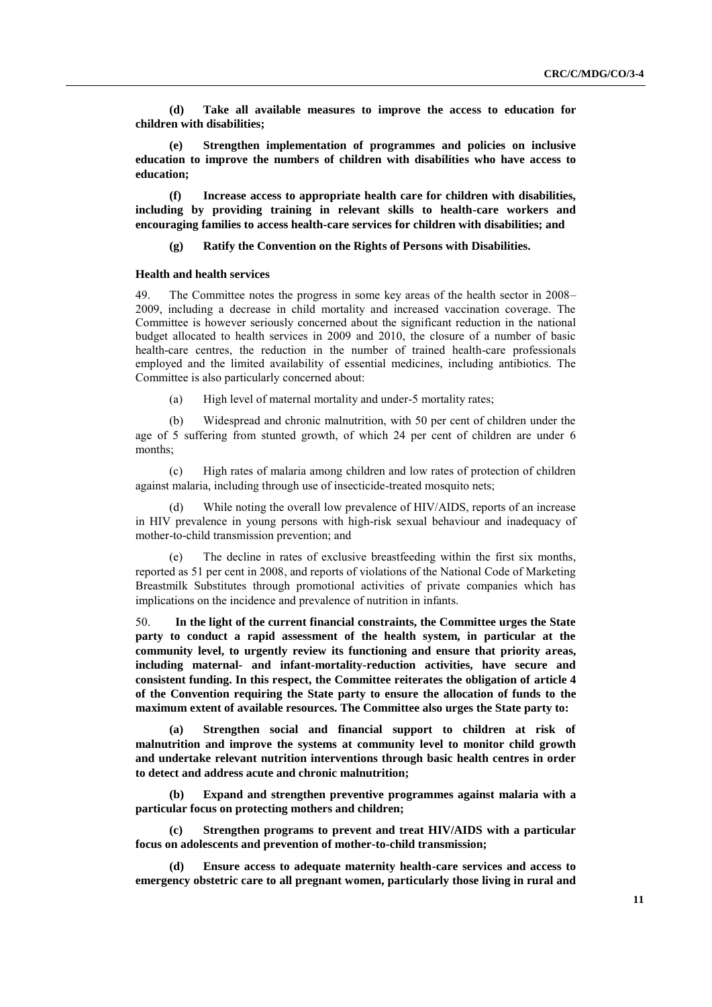**(d) Take all available measures to improve the access to education for children with disabilities;**

**(e) Strengthen implementation of programmes and policies on inclusive education to improve the numbers of children with disabilities who have access to education;**

**(f) Increase access to appropriate health care for children with disabilities, including by providing training in relevant skills to health-care workers and encouraging families to access health-care services for children with disabilities; and**

**(g) Ratify the Convention on the Rights of Persons with Disabilities.**

#### **Health and health services**

49. The Committee notes the progress in some key areas of the health sector in 2008– 2009, including a decrease in child mortality and increased vaccination coverage. The Committee is however seriously concerned about the significant reduction in the national budget allocated to health services in 2009 and 2010, the closure of a number of basic health-care centres, the reduction in the number of trained health-care professionals employed and the limited availability of essential medicines, including antibiotics. The Committee is also particularly concerned about:

(a) High level of maternal mortality and under-5 mortality rates;

(b) Widespread and chronic malnutrition, with 50 per cent of children under the age of 5 suffering from stunted growth, of which 24 per cent of children are under 6 months;

(c) High rates of malaria among children and low rates of protection of children against malaria, including through use of insecticide-treated mosquito nets;

(d) While noting the overall low prevalence of HIV/AIDS, reports of an increase in HIV prevalence in young persons with high-risk sexual behaviour and inadequacy of mother-to-child transmission prevention; and

(e) The decline in rates of exclusive breastfeeding within the first six months, reported as 51 per cent in 2008, and reports of violations of the National Code of Marketing Breastmilk Substitutes through promotional activities of private companies which has implications on the incidence and prevalence of nutrition in infants.

50. **In the light of the current financial constraints, the Committee urges the State party to conduct a rapid assessment of the health system, in particular at the community level, to urgently review its functioning and ensure that priority areas, including maternal- and infant-mortality-reduction activities, have secure and consistent funding. In this respect, the Committee reiterates the obligation of article 4 of the Convention requiring the State party to ensure the allocation of funds to the maximum extent of available resources. The Committee also urges the State party to:**

**(a) Strengthen social and financial support to children at risk of malnutrition and improve the systems at community level to monitor child growth and undertake relevant nutrition interventions through basic health centres in order to detect and address acute and chronic malnutrition;** 

**(b) Expand and strengthen preventive programmes against malaria with a particular focus on protecting mothers and children;**

**(c) Strengthen programs to prevent and treat HIV/AIDS with a particular focus on adolescents and prevention of mother-to-child transmission;**

**(d) Ensure access to adequate maternity health-care services and access to emergency obstetric care to all pregnant women, particularly those living in rural and**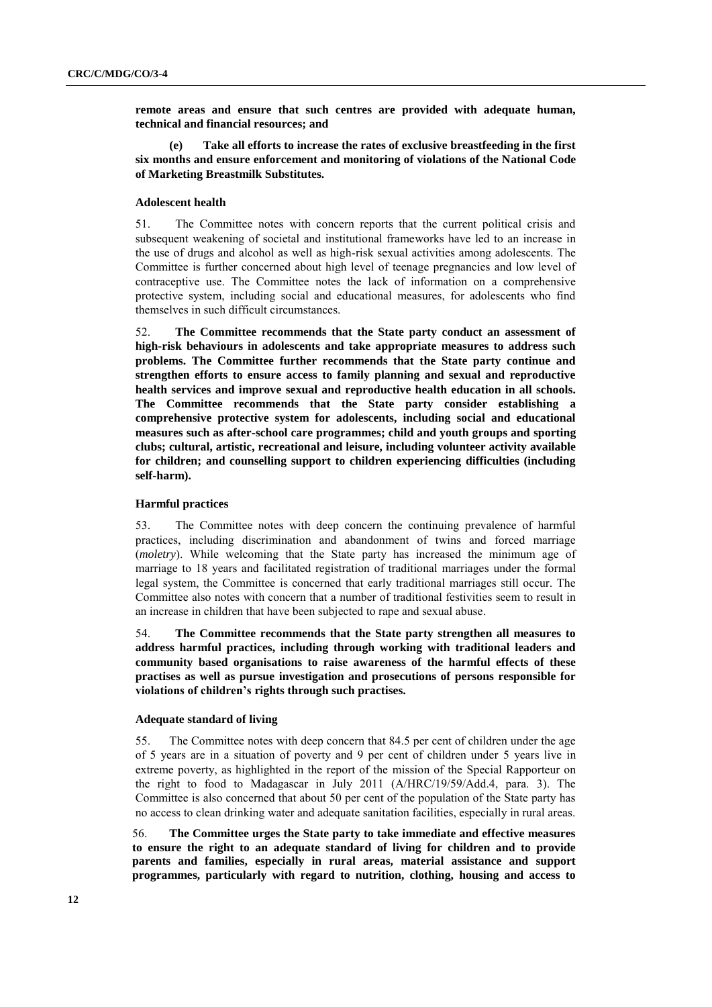**remote areas and ensure that such centres are provided with adequate human, technical and financial resources; and**

**(e) Take all efforts to increase the rates of exclusive breastfeeding in the first six months and ensure enforcement and monitoring of violations of the National Code of Marketing Breastmilk Substitutes.**

### **Adolescent health**

51. The Committee notes with concern reports that the current political crisis and subsequent weakening of societal and institutional frameworks have led to an increase in the use of drugs and alcohol as well as high-risk sexual activities among adolescents. The Committee is further concerned about high level of teenage pregnancies and low level of contraceptive use. The Committee notes the lack of information on a comprehensive protective system, including social and educational measures, for adolescents who find themselves in such difficult circumstances.

52. **The Committee recommends that the State party conduct an assessment of high-risk behaviours in adolescents and take appropriate measures to address such problems. The Committee further recommends that the State party continue and strengthen efforts to ensure access to family planning and sexual and reproductive health services and improve sexual and reproductive health education in all schools. The Committee recommends that the State party consider establishing a comprehensive protective system for adolescents, including social and educational measures such as after-school care programmes; child and youth groups and sporting clubs; cultural, artistic, recreational and leisure, including volunteer activity available for children; and counselling support to children experiencing difficulties (including self-harm).**

## **Harmful practices**

53. The Committee notes with deep concern the continuing prevalence of harmful practices, including discrimination and abandonment of twins and forced marriage (*moletry*). While welcoming that the State party has increased the minimum age of marriage to 18 years and facilitated registration of traditional marriages under the formal legal system, the Committee is concerned that early traditional marriages still occur. The Committee also notes with concern that a number of traditional festivities seem to result in an increase in children that have been subjected to rape and sexual abuse.

54. **The Committee recommends that the State party strengthen all measures to address harmful practices, including through working with traditional leaders and community based organisations to raise awareness of the harmful effects of these practises as well as pursue investigation and prosecutions of persons responsible for violations of children's rights through such practises.**

#### **Adequate standard of living**

55. The Committee notes with deep concern that 84.5 per cent of children under the age of 5 years are in a situation of poverty and 9 per cent of children under 5 years live in extreme poverty, as highlighted in the report of the mission of the Special Rapporteur on the right to food to Madagascar in July 2011 (A/HRC/19/59/Add.4, para. 3). The Committee is also concerned that about 50 per cent of the population of the State party has no access to clean drinking water and adequate sanitation facilities, especially in rural areas.

56. **The Committee urges the State party to take immediate and effective measures to ensure the right to an adequate standard of living for children and to provide parents and families, especially in rural areas, material assistance and support programmes, particularly with regard to nutrition, clothing, housing and access to**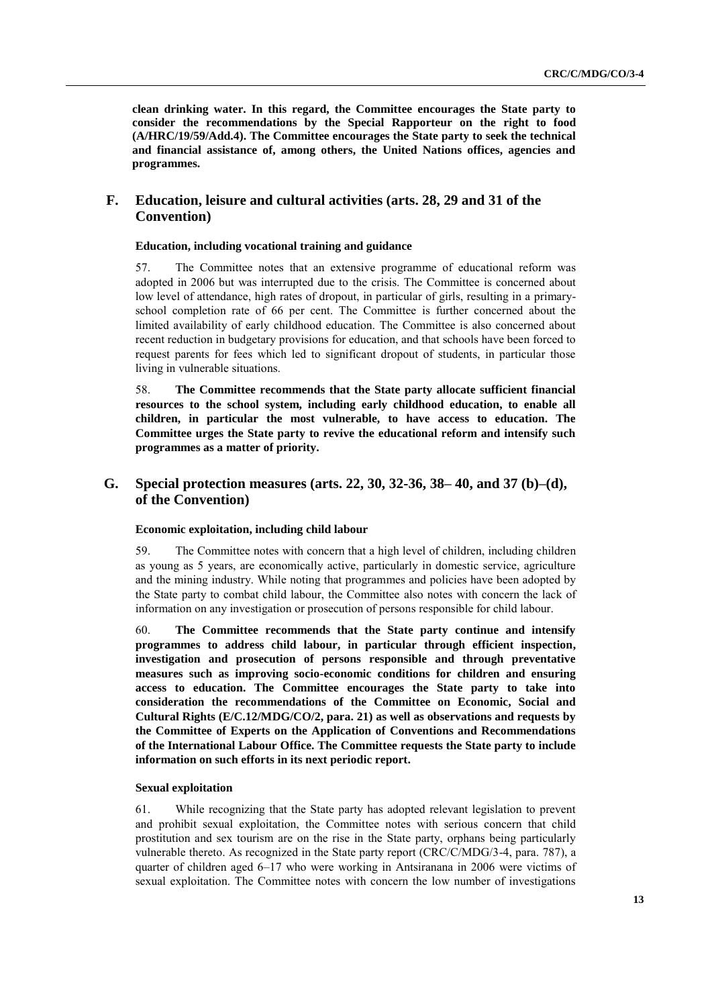**clean drinking water. In this regard, the Committee encourages the State party to consider the recommendations by the Special Rapporteur on the right to food (A/HRC/19/59/Add.4). The Committee encourages the State party to seek the technical and financial assistance of, among others, the United Nations offices, agencies and programmes.**

## **F. Education, leisure and cultural activities (arts. 28, 29 and 31 of the Convention)**

## **Education, including vocational training and guidance**

57. The Committee notes that an extensive programme of educational reform was adopted in 2006 but was interrupted due to the crisis. The Committee is concerned about low level of attendance, high rates of dropout, in particular of girls, resulting in a primaryschool completion rate of 66 per cent. The Committee is further concerned about the limited availability of early childhood education. The Committee is also concerned about recent reduction in budgetary provisions for education, and that schools have been forced to request parents for fees which led to significant dropout of students, in particular those living in vulnerable situations.

58. **The Committee recommends that the State party allocate sufficient financial resources to the school system, including early childhood education, to enable all children, in particular the most vulnerable, to have access to education. The Committee urges the State party to revive the educational reform and intensify such programmes as a matter of priority.**

## **G. Special protection measures (arts. 22, 30, 32-36, 38– 40, and 37 (b)–(d), of the Convention)**

## **Economic exploitation, including child labour**

59. The Committee notes with concern that a high level of children, including children as young as 5 years, are economically active, particularly in domestic service, agriculture and the mining industry. While noting that programmes and policies have been adopted by the State party to combat child labour, the Committee also notes with concern the lack of information on any investigation or prosecution of persons responsible for child labour.

60. **The Committee recommends that the State party continue and intensify programmes to address child labour, in particular through efficient inspection, investigation and prosecution of persons responsible and through preventative measures such as improving socio-economic conditions for children and ensuring access to education. The Committee encourages the State party to take into consideration the recommendations of the Committee on Economic, Social and Cultural Rights (E/C.12/MDG/CO/2, para. 21) as well as observations and requests by the Committee of Experts on the Application of Conventions and Recommendations of the International Labour Office. The Committee requests the State party to include information on such efforts in its next periodic report.**

### **Sexual exploitation**

61. While recognizing that the State party has adopted relevant legislation to prevent and prohibit sexual exploitation, the Committee notes with serious concern that child prostitution and sex tourism are on the rise in the State party, orphans being particularly vulnerable thereto. As recognized in the State party report (CRC/C/MDG/3-4, para. 787), a quarter of children aged 6–17 who were working in Antsiranana in 2006 were victims of sexual exploitation. The Committee notes with concern the low number of investigations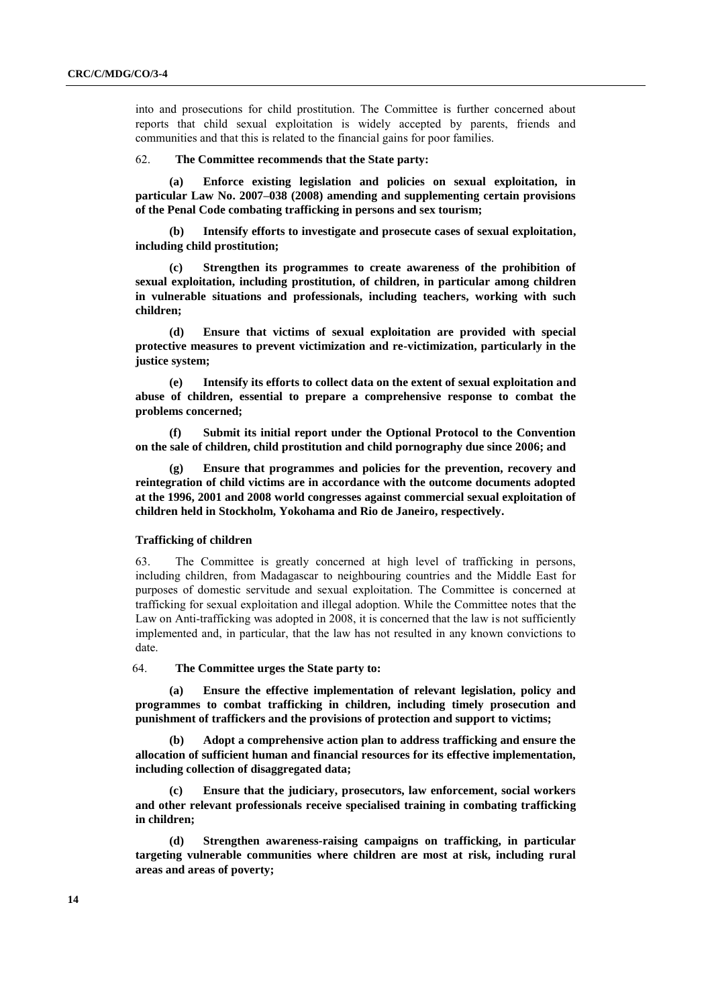into and prosecutions for child prostitution. The Committee is further concerned about reports that child sexual exploitation is widely accepted by parents, friends and communities and that this is related to the financial gains for poor families.

#### 62. **The Committee recommends that the State party:**

**(a) Enforce existing legislation and policies on sexual exploitation, in particular Law No. 2007–038 (2008) amending and supplementing certain provisions of the Penal Code combating trafficking in persons and sex tourism;**

**(b) Intensify efforts to investigate and prosecute cases of sexual exploitation, including child prostitution;**

**(c) Strengthen its programmes to create awareness of the prohibition of sexual exploitation, including prostitution, of children, in particular among children in vulnerable situations and professionals, including teachers, working with such children;**

**(d) Ensure that victims of sexual exploitation are provided with special protective measures to prevent victimization and re-victimization, particularly in the justice system;**

**(e) Intensify its efforts to collect data on the extent of sexual exploitation and abuse of children, essential to prepare a comprehensive response to combat the problems concerned;**

**(f) Submit its initial report under the Optional Protocol to the Convention on the sale of children, child prostitution and child pornography due since 2006; and**

**(g) Ensure that programmes and policies for the prevention, recovery and reintegration of child victims are in accordance with the outcome documents adopted at the 1996, 2001 and 2008 world congresses against commercial sexual exploitation of children held in Stockholm, Yokohama and Rio de Janeiro, respectively.**

#### **Trafficking of children**

63. The Committee is greatly concerned at high level of trafficking in persons, including children, from Madagascar to neighbouring countries and the Middle East for purposes of domestic servitude and sexual exploitation. The Committee is concerned at trafficking for sexual exploitation and illegal adoption. While the Committee notes that the Law on Anti-trafficking was adopted in 2008, it is concerned that the law is not sufficiently implemented and, in particular, that the law has not resulted in any known convictions to date.

64. **The Committee urges the State party to:**

**(a) Ensure the effective implementation of relevant legislation, policy and programmes to combat trafficking in children, including timely prosecution and punishment of traffickers and the provisions of protection and support to victims;** 

**(b) Adopt a comprehensive action plan to address trafficking and ensure the allocation of sufficient human and financial resources for its effective implementation, including collection of disaggregated data;**

**(c) Ensure that the judiciary, prosecutors, law enforcement, social workers and other relevant professionals receive specialised training in combating trafficking in children;**

**(d) Strengthen awareness-raising campaigns on trafficking, in particular targeting vulnerable communities where children are most at risk, including rural areas and areas of poverty;**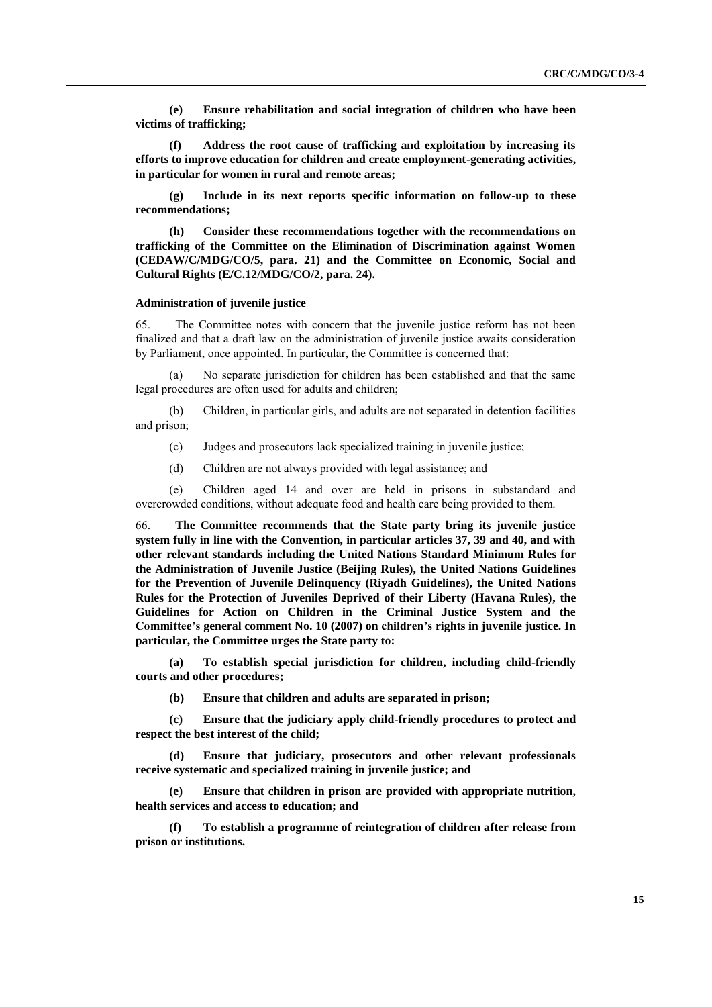**(e) Ensure rehabilitation and social integration of children who have been victims of trafficking;** 

**(f) Address the root cause of trafficking and exploitation by increasing its efforts to improve education for children and create employment-generating activities, in particular for women in rural and remote areas;**

**(g) Include in its next reports specific information on follow-up to these recommendations;**

**(h) Consider these recommendations together with the recommendations on trafficking of the Committee on the Elimination of Discrimination against Women (CEDAW/C/MDG/CO/5, para. 21) and the Committee on Economic, Social and Cultural Rights (E/C.12/MDG/CO/2, para. 24).**

#### **Administration of juvenile justice**

65. The Committee notes with concern that the juvenile justice reform has not been finalized and that a draft law on the administration of juvenile justice awaits consideration by Parliament, once appointed. In particular, the Committee is concerned that:

(a) No separate jurisdiction for children has been established and that the same legal procedures are often used for adults and children;

(b) Children, in particular girls, and adults are not separated in detention facilities and prison;

(c) Judges and prosecutors lack specialized training in juvenile justice;

(d) Children are not always provided with legal assistance; and

(e) Children aged 14 and over are held in prisons in substandard and overcrowded conditions, without adequate food and health care being provided to them.

66. **The Committee recommends that the State party bring its juvenile justice system fully in line with the Convention, in particular articles 37, 39 and 40, and with other relevant standards including the United Nations Standard Minimum Rules for the Administration of Juvenile Justice (Beijing Rules), the United Nations Guidelines for the Prevention of Juvenile Delinquency (Riyadh Guidelines), the United Nations Rules for the Protection of Juveniles Deprived of their Liberty (Havana Rules), the Guidelines for Action on Children in the Criminal Justice System and the Committee's general comment No. 10 (2007) on children's rights in juvenile justice. In particular, the Committee urges the State party to:**

**(a) To establish special jurisdiction for children, including child-friendly courts and other procedures;**

**(b) Ensure that children and adults are separated in prison;** 

**(c) Ensure that the judiciary apply child-friendly procedures to protect and respect the best interest of the child;** 

**(d) Ensure that judiciary, prosecutors and other relevant professionals receive systematic and specialized training in juvenile justice; and**

**(e) Ensure that children in prison are provided with appropriate nutrition, health services and access to education; and** 

**(f) To establish a programme of reintegration of children after release from prison or institutions.**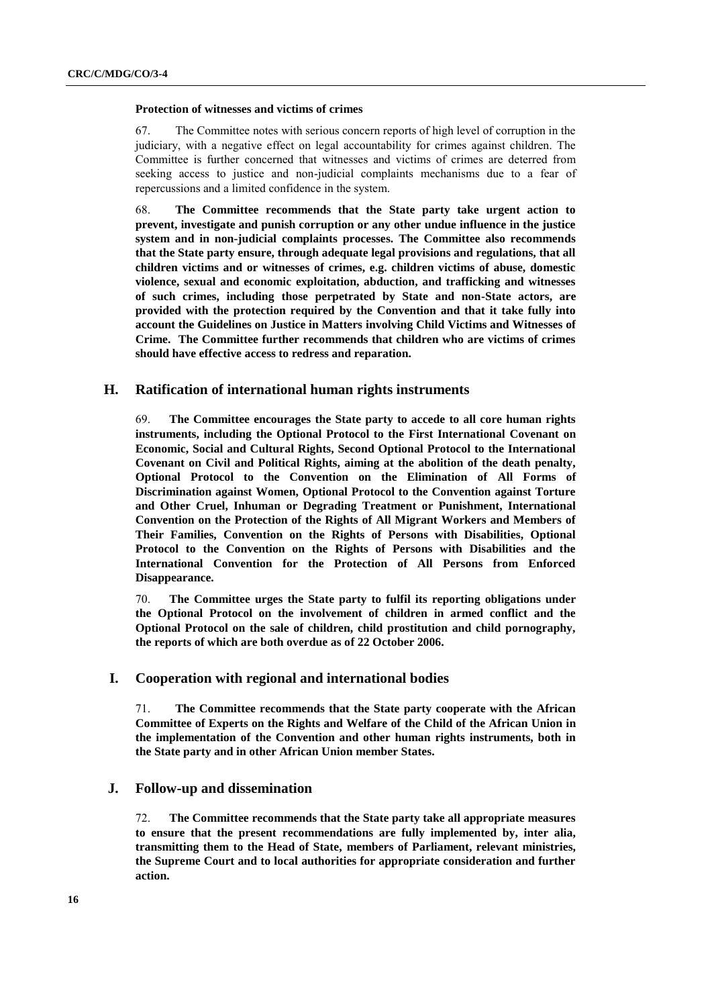#### **Protection of witnesses and victims of crimes**

67. The Committee notes with serious concern reports of high level of corruption in the judiciary, with a negative effect on legal accountability for crimes against children. The Committee is further concerned that witnesses and victims of crimes are deterred from seeking access to justice and non-judicial complaints mechanisms due to a fear of repercussions and a limited confidence in the system.

68. **The Committee recommends that the State party take urgent action to prevent, investigate and punish corruption or any other undue influence in the justice system and in non-judicial complaints processes. The Committee also recommends that the State party ensure, through adequate legal provisions and regulations, that all children victims and or witnesses of crimes, e.g. children victims of abuse, domestic violence, sexual and economic exploitation, abduction, and trafficking and witnesses of such crimes, including those perpetrated by State and non-State actors, are provided with the protection required by the Convention and that it take fully into account the Guidelines on Justice in Matters involving Child Victims and Witnesses of Crime. The Committee further recommends that children who are victims of crimes should have effective access to redress and reparation.**

## **H. Ratification of international human rights instruments**

69. **The Committee encourages the State party to accede to all core human rights instruments, including the Optional Protocol to the First International Covenant on Economic, Social and Cultural Rights, Second Optional Protocol to the International Covenant on Civil and Political Rights, aiming at the abolition of the death penalty, Optional Protocol to the Convention on the Elimination of All Forms of Discrimination against Women, Optional Protocol to the Convention against Torture and Other Cruel, Inhuman or Degrading Treatment or Punishment, International Convention on the Protection of the Rights of All Migrant Workers and Members of Their Families, Convention on the Rights of Persons with Disabilities, Optional Protocol to the Convention on the Rights of Persons with Disabilities and the International Convention for the Protection of All Persons from Enforced Disappearance.**

70. **The Committee urges the State party to fulfil its reporting obligations under the Optional Protocol on the involvement of children in armed conflict and the Optional Protocol on the sale of children, child prostitution and child pornography, the reports of which are both overdue as of 22 October 2006.**

## **I. Cooperation with regional and international bodies**

71. **The Committee recommends that the State party cooperate with the African Committee of Experts on the Rights and Welfare of the Child of the African Union in the implementation of the Convention and other human rights instruments, both in the State party and in other African Union member States.**

## **J. Follow-up and dissemination**

72. **The Committee recommends that the State party take all appropriate measures to ensure that the present recommendations are fully implemented by, inter alia, transmitting them to the Head of State, members of Parliament, relevant ministries, the Supreme Court and to local authorities for appropriate consideration and further action.**